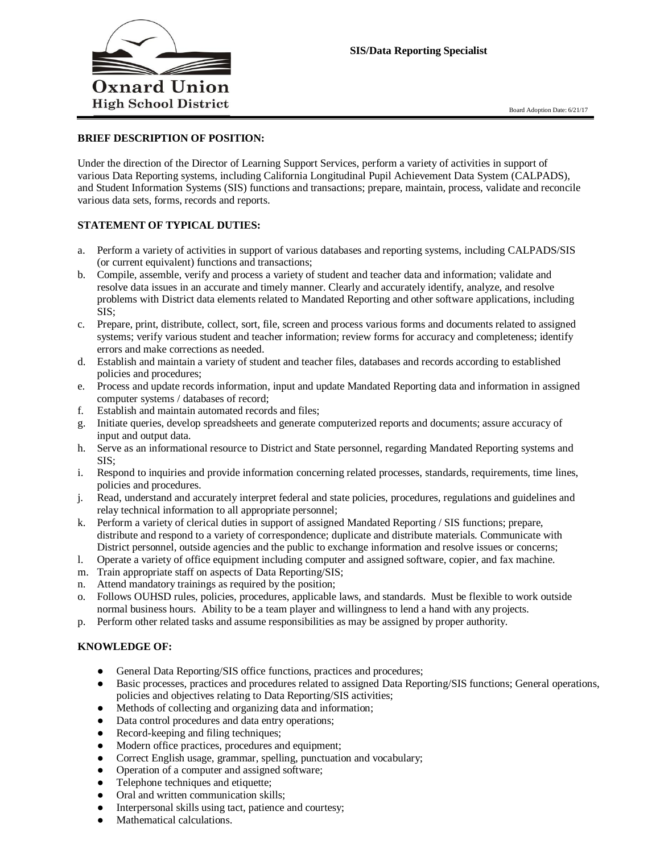

### **BRIEF DESCRIPTION OF POSITION:**

Under the direction of the Director of Learning Support Services, perform a variety of activities in support of various Data Reporting systems, including California Longitudinal Pupil Achievement Data System (CALPADS), and Student Information Systems (SIS) functions and transactions; prepare, maintain, process, validate and reconcile various data sets, forms, records and reports.

# **STATEMENT OF TYPICAL DUTIES:**

- a. Perform a variety of activities in support of various databases and reporting systems, including CALPADS/SIS (or current equivalent) functions and transactions;
- b. Compile, assemble, verify and process a variety of student and teacher data and information; validate and resolve data issues in an accurate and timely manner. Clearly and accurately identify, analyze, and resolve problems with District data elements related to Mandated Reporting and other software applications, including SIS;
- c. Prepare, print, distribute, collect, sort, file, screen and process various forms and documents related to assigned systems; verify various student and teacher information; review forms for accuracy and completeness; identify errors and make corrections as needed.
- d. Establish and maintain a variety of student and teacher files, databases and records according to established policies and procedures;
- e. Process and update records information, input and update Mandated Reporting data and information in assigned computer systems / databases of record;
- f. Establish and maintain automated records and files;
- g. Initiate queries, develop spreadsheets and generate computerized reports and documents; assure accuracy of input and output data.
- h. Serve as an informational resource to District and State personnel, regarding Mandated Reporting systems and SIS;
- i. Respond to inquiries and provide information concerning related processes, standards, requirements, time lines, policies and procedures.
- j. Read, understand and accurately interpret federal and state policies, procedures, regulations and guidelines and relay technical information to all appropriate personnel;
- k. Perform a variety of clerical duties in support of assigned Mandated Reporting / SIS functions; prepare, distribute and respond to a variety of correspondence; duplicate and distribute materials. Communicate with District personnel, outside agencies and the public to exchange information and resolve issues or concerns;
- l. Operate a variety of office equipment including computer and assigned software, copier, and fax machine.
- m. Train appropriate staff on aspects of Data Reporting/SIS;
- n. Attend mandatory trainings as required by the position;
- o. Follows OUHSD rules, policies, procedures, applicable laws, and standards. Must be flexible to work outside normal business hours. Ability to be a team player and willingness to lend a hand with any projects.
- p. Perform other related tasks and assume responsibilities as may be assigned by proper authority.

#### **KNOWLEDGE OF:**

- General Data Reporting/SIS office functions, practices and procedures;
- Basic processes, practices and procedures related to assigned Data Reporting/SIS functions; General operations, policies and objectives relating to Data Reporting/SIS activities;
- Methods of collecting and organizing data and information;
- Data control procedures and data entry operations;
- Record-keeping and filing techniques;
- Modern office practices, procedures and equipment;
- Correct English usage, grammar, spelling, punctuation and vocabulary;
- Operation of a computer and assigned software;
- Telephone techniques and etiquette;
- Oral and written communication skills;
- Interpersonal skills using tact, patience and courtesy;
- Mathematical calculations.